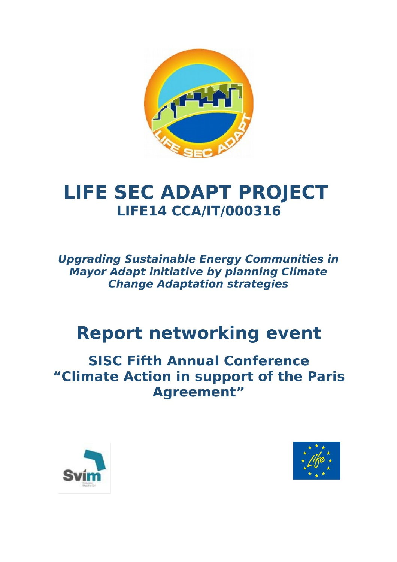

# **LIFE SEC ADAPT PROJECT LIFE14 CCA/IT/000316**

**Upgrading Sustainable Energy Communities in Mayor Adapt initiative by planning Climate Change Adaptation strategies** 

# **Report networking event**

# **SISC Fifth Annual Conference** "Climate Action in support of the Paris **Agreement"**



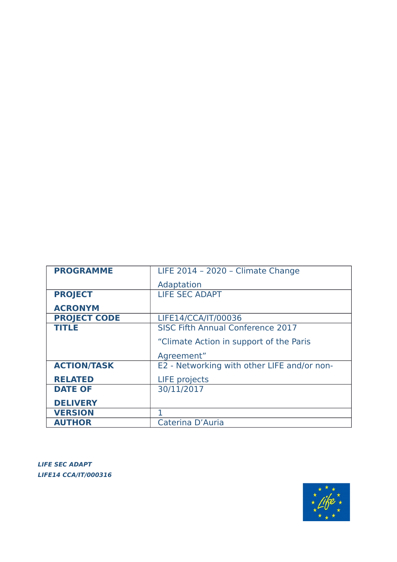

**LIFE SEC ADAPT LIFE14 CCA/IT/000316** 

| <b>PROGRAMME</b>    | LIFE 2014 - 2020 - Climate Change           |
|---------------------|---------------------------------------------|
|                     | Adaptation                                  |
| <b>PROJECT</b>      | <b>LIFE SEC ADAPT</b>                       |
| <b>ACRONYM</b>      |                                             |
| <b>PROJECT CODE</b> | LIFE14/CCA/IT/00036                         |
| <b>TITLE</b>        | <b>SISC Fifth Annual Conference 2017</b>    |
|                     | "Climate Action in support of the Paris"    |
|                     | Agreement"                                  |
| <b>ACTION/TASK</b>  | E2 - Networking with other LIFE and/or non- |
| <b>RELATED</b>      | <b>LIFE</b> projects                        |
| <b>DATE OF</b>      | 30/11/2017                                  |
| <b>DELIVERY</b>     |                                             |
| <b>VERSION</b>      |                                             |
| <b>AUTHOR</b>       | Caterina D'Auria                            |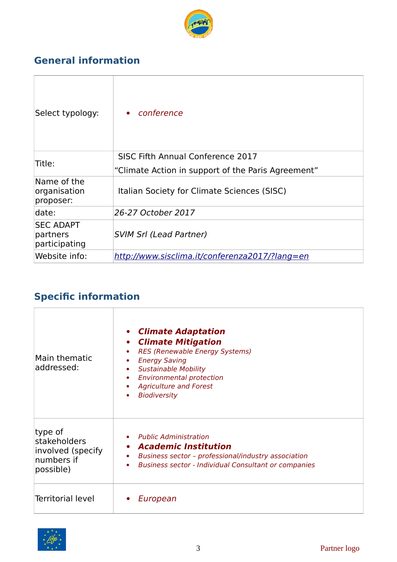

# **General information**

| Select typology:                              | conference<br>$\bullet$                            |
|-----------------------------------------------|----------------------------------------------------|
| Title:                                        | SISC Fifth Annual Conference 2017                  |
|                                               | "Climate Action in support of the Paris Agreement" |
| Name of the<br>organisation<br>proposer:      | Italian Society for Climate Sciences (SISC)        |
| date:                                         | 26-27 October 2017                                 |
| <b>SEC ADAPT</b><br>partners<br>participating | <b>SVIM Srl (Lead Partner)</b>                     |
| Website info:                                 | http://www.sisclima.it/conferenza2017/?lang=en     |

# **Specific information**

| Main thematic<br>addressed:                                             | <b>Climate Adaptation</b><br>$\bullet$<br>• Climate Mitigation<br>RES (Renewable Energy Systems)<br><b>Energy Saving</b><br><b>Sustainable Mobility</b><br>$\bullet$<br><b>Environmental protection</b><br>۰<br><b>Agriculture and Forest</b><br><b>Biodiversity</b> |
|-------------------------------------------------------------------------|----------------------------------------------------------------------------------------------------------------------------------------------------------------------------------------------------------------------------------------------------------------------|
| type of<br>stakeholders<br>involved (specify<br>numbers if<br>possible) | <b>Public Administration</b><br>• Academic Institution<br>Business sector - professional/industry association<br>٠<br><b>Business sector - Individual Consultant or companies</b>                                                                                    |
| <b>Territorial level</b>                                                | European                                                                                                                                                                                                                                                             |

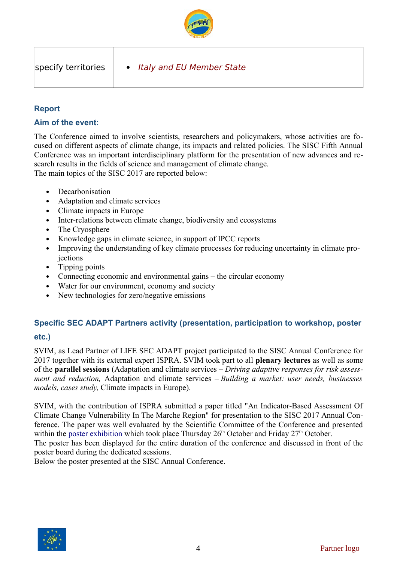

### **Report**

### **Aim of the event:**

The Conference aimed to involve scientists, researchers and policymakers, whose activities are focused on different aspects of climate change, its impacts and related policies. The SISC Fifth Annual Conference was an important interdisciplinary platform for the presentation of new advances and research results in the fields of science and management of climate change. The main topics of the SISC 2017 are reported below:

- Decarbonisation
- Adaptation and climate services
- Climate impacts in Europe
- Inter-relations between climate change, biodiversity and ecosystems
- The Cryosphere
- Knowledge gaps in climate science, in support of IPCC reports
- Improving the understanding of key climate processes for reducing uncertainty in climate projections
- Tipping points
- Connecting economic and environmental gains the circular economy
- Water for our environment, economy and society
- New technologies for zero/negative emissions

# **Specific SEC ADAPT Partners activity (presentation, participation to workshop, poster**

### **etc.)**

SVIM, as Lead Partner of LIFE SEC ADAPT project participated to the SISC Annual Conference for 2017 together with its external expert ISPRA. SVIM took part to all **plenary lectures** as well as some of the **parallel sessions** (Adaptation and climate services – *Driving adaptive responses for risk assessment and reduction,* Adaptation and climate services – *Building a market: user needs, businesses models, cases study,* Climate impacts in Europe).

SVIM, with the contribution of ISPRA submitted a paper titled "An Indicator-Based Assessment Of Climate Change Vulnerability In The Marche Region" for presentation to the SISC 2017 Annual Conference. The paper was well evaluated by the Scientific Committee of the Conference and presented within the [poster exhibition](http://www.sisclima.it/conferenza2017/wp-content/uploads/2017/03/PosterAcceptedLogistic-.pdf) which took place Thursday  $26<sup>th</sup>$  October and Friday  $27<sup>th</sup>$  October.

The poster has been displayed for the entire duration of the conference and discussed in front of the poster board during the dedicated sessions.

Below the poster presented at the SISC Annual Conference.

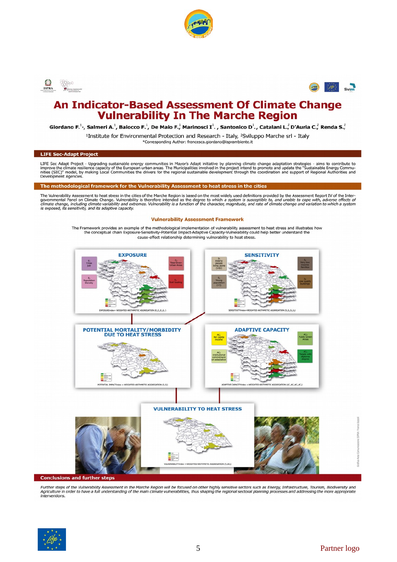





## **An Indicator-Based Assessment Of Climate Change Vulnerability In The Marche Region**

Giordano F.<sup>1</sup><sup>\*</sup>, Salmeri A.<sup>1</sup>, Baiocco F.<sup>1</sup>, De Maio F.<sup>1</sup>, Marinosci I<sup>1</sup>. , Santonico D<sup>1</sup>., Catalani L.<sup>2</sup>, D'Auria C.<sup>2</sup>, Renda S.<sup>2</sup>

<sup>1</sup>Institute for Environmental Protection and Research - Italy, <sup>2</sup>Sviluppo Marche srl - Italy

\*Corresponding Author: francesca.giordano@isprambiente.it

#### **LIFE Sec-Adapt Project**

LIFE Sec Adapt Project - Upgrading sustainable energy communities in Mayor's Adapt initiative by planning climate change adaptation strategies - aims to contribute to improve the climate resilience capacity of the European

The methodological framework for the Vulnerability Assessment to heat stress in the cities

The Vulnerability Assessment to heat stress in the cities of the Marche Region is based on the most widely used definitions provided by the Assessment Report IV of the Inter-The value and Panel on Climate Change. Vulnerability is therefore intended as the degree to which a system is susceptible to, and unable to cope with, adverse effects of<br>climate change, including climate variability and ex

#### **Vulnerability Assessment Framework**

The Framework provides an example of the methodological implementation of vulnerability assessment to heat stress and illustrates how<br>the conceptual chain Exposure-Sensitivity-Potential Impact-Adaptive Capacity-Vulnerabili cause-effect relationship determining vulnerability to heat stress.



Further steps of the Vulnerability Assessment in the Marche Region will be focused on other highly sensitive sectors such as Energy, Infrastructure, Tourism, Biodiversity and<br>Agriculture in order to have a full understandi